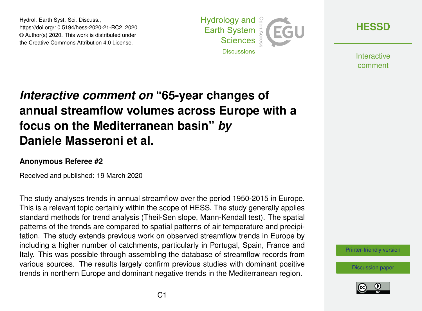Hydrol. Earth Syst. Sci. Discuss., https://doi.org/10.5194/hess-2020-21-RC2, 2020 © Author(s) 2020. This work is distributed under the Creative Commons Attribution 4.0 License.



**[HESSD](https://www.hydrol-earth-syst-sci-discuss.net/)**

**Interactive** comment

# *Interactive comment on* **"65-year changes of annual streamflow volumes across Europe with a focus on the Mediterranean basin"** *by* **Daniele Masseroni et al.**

### **Anonymous Referee #2**

Received and published: 19 March 2020

The study analyses trends in annual streamflow over the period 1950-2015 in Europe. This is a relevant topic certainly within the scope of HESS. The study generally applies standard methods for trend analysis (Theil-Sen slope, Mann-Kendall test). The spatial patterns of the trends are compared to spatial patterns of air temperature and precipitation. The study extends previous work on observed streamflow trends in Europe by including a higher number of catchments, particularly in Portugal, Spain, France and Italy. This was possible through assembling the database of streamflow records from various sources. The results largely confirm previous studies with dominant positive trends in northern Europe and dominant negative trends in the Mediterranean region.

[Printer-friendly version](https://www.hydrol-earth-syst-sci-discuss.net/hess-2020-21/hess-2020-21-RC2-print.pdf)

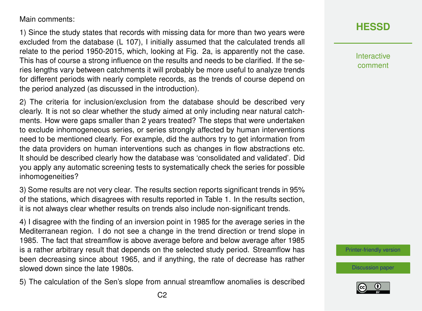Main comments:

1) Since the study states that records with missing data for more than two years were excluded from the database (L 107), I initially assumed that the calculated trends all relate to the period 1950-2015, which, looking at Fig. 2a, is apparently not the case. This has of course a strong influence on the results and needs to be clarified. If the series lengths vary between catchments it will probably be more useful to analyze trends for different periods with nearly complete records, as the trends of course depend on the period analyzed (as discussed in the introduction).

2) The criteria for inclusion/exclusion from the database should be described very clearly. It is not so clear whether the study aimed at only including near natural catchments. How were gaps smaller than 2 years treated? The steps that were undertaken to exclude inhomogeneous series, or series strongly affected by human interventions need to be mentioned clearly. For example, did the authors try to get information from the data providers on human interventions such as changes in flow abstractions etc. It should be described clearly how the database was 'consolidated and validated'. Did you apply any automatic screening tests to systematically check the series for possible inhomogeneities?

3) Some results are not very clear. The results section reports significant trends in 95% of the stations, which disagrees with results reported in Table 1. In the results section, it is not always clear whether results on trends also include non-significant trends.

4) I disagree with the finding of an inversion point in 1985 for the average series in the Mediterranean region. I do not see a change in the trend direction or trend slope in 1985. The fact that streamflow is above average before and below average after 1985 is a rather arbitrary result that depends on the selected study period. Streamflow has been decreasing since about 1965, and if anything, the rate of decrease has rather slowed down since the late 1980s.

5) The calculation of the Sen's slope from annual streamflow anomalies is described



Interactive comment

[Printer-friendly version](https://www.hydrol-earth-syst-sci-discuss.net/hess-2020-21/hess-2020-21-RC2-print.pdf)

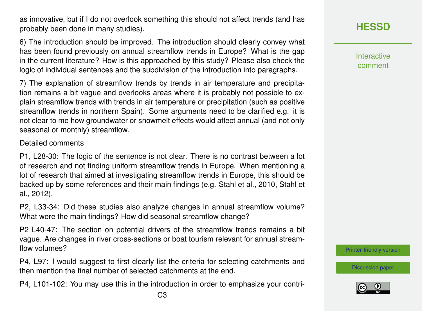as innovative, but if I do not overlook something this should not affect trends (and has probably been done in many studies).

6) The introduction should be improved. The introduction should clearly convey what has been found previously on annual streamflow trends in Europe? What is the gap in the current literature? How is this approached by this study? Please also check the logic of individual sentences and the subdivision of the introduction into paragraphs.

7) The explanation of streamflow trends by trends in air temperature and precipitation remains a bit vague and overlooks areas where it is probably not possible to explain streamflow trends with trends in air temperature or precipitation (such as positive streamflow trends in northern Spain). Some arguments need to be clarified e.g. it is not clear to me how groundwater or snowmelt effects would affect annual (and not only seasonal or monthly) streamflow.

#### Detailed comments

P1, L28-30: The logic of the sentence is not clear. There is no contrast between a lot of research and not finding uniform streamflow trends in Europe. When mentioning a lot of research that aimed at investigating streamflow trends in Europe, this should be backed up by some references and their main findings (e.g. Stahl et al., 2010, Stahl et al., 2012).

P2, L33-34: Did these studies also analyze changes in annual streamflow volume? What were the main findings? How did seasonal streamflow change?

P2 L40-47: The section on potential drivers of the streamflow trends remains a bit vague. Are changes in river cross-sections or boat tourism relevant for annual streamflow volumes?

P4, L97: I would suggest to first clearly list the criteria for selecting catchments and then mention the final number of selected catchments at the end.

P4, L101-102: You may use this in the introduction in order to emphasize your contri-

Interactive comment

[Printer-friendly version](https://www.hydrol-earth-syst-sci-discuss.net/hess-2020-21/hess-2020-21-RC2-print.pdf)

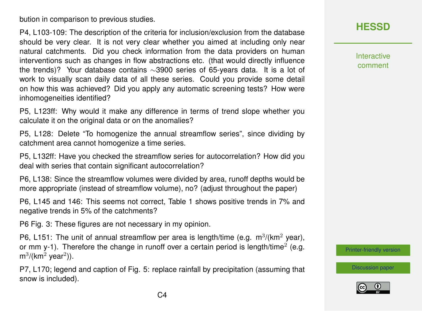bution in comparison to previous studies.

P4, L103-109: The description of the criteria for inclusion/exclusion from the database should be very clear. It is not very clear whether you aimed at including only near natural catchments. Did you check information from the data providers on human interventions such as changes in flow abstractions etc. (that would directly influence the trends)? Your database contains ∼3900 series of 65-years data. It is a lot of work to visually scan daily data of all these series. Could you provide some detail on how this was achieved? Did you apply any automatic screening tests? How were inhomogeneities identified?

P5, L123ff: Why would it make any difference in terms of trend slope whether you calculate it on the original data or on the anomalies?

P5, L128: Delete "To homogenize the annual streamflow series", since dividing by catchment area cannot homogenize a time series.

P5, L132ff: Have you checked the streamflow series for autocorrelation? How did you deal with series that contain significant autocorrelation?

P6, L138: Since the streamflow volumes were divided by area, runoff depths would be more appropriate (instead of streamflow volume), no? (adjust throughout the paper)

P6, L145 and 146: This seems not correct, Table 1 shows positive trends in 7% and negative trends in 5% of the catchments?

P6 Fig. 3: These figures are not necessary in my opinion.

P6, L151: The unit of annual streamflow per area is length/time (e.g.  $m^3/(km^2 \text{ year})$ , or mm y-1). Therefore the change in runoff over a certain period is length/time<sup>2</sup> (e.g.  $m^3$ /(km<sup>2</sup> year<sup>2</sup>)).

P7, L170; legend and caption of Fig. 5: replace rainfall by precipitation (assuming that snow is included).

## **[HESSD](https://www.hydrol-earth-syst-sci-discuss.net/)**

Interactive comment

[Printer-friendly version](https://www.hydrol-earth-syst-sci-discuss.net/hess-2020-21/hess-2020-21-RC2-print.pdf)

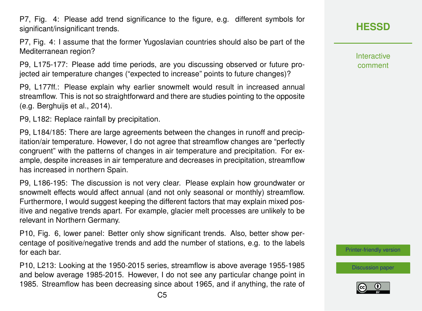P7, Fig. 4: Please add trend significance to the figure, e.g. different symbols for significant/insignificant trends.

P7, Fig. 4: I assume that the former Yugoslavian countries should also be part of the Mediterranean region?

P9, L175-177: Please add time periods, are you discussing observed or future projected air temperature changes ("expected to increase" points to future changes)?

P9, L177ff.: Please explain why earlier snowmelt would result in increased annual streamflow. This is not so straightforward and there are studies pointing to the opposite (e.g. Berghuijs et al., 2014).

P9, L182: Replace rainfall by precipitation.

P9, L184/185: There are large agreements between the changes in runoff and precipitation/air temperature. However, I do not agree that streamflow changes are "perfectly congruent" with the patterns of changes in air temperature and precipitation. For example, despite increases in air temperature and decreases in precipitation, streamflow has increased in northern Spain.

P9, L186-195: The discussion is not very clear. Please explain how groundwater or snowmelt effects would affect annual (and not only seasonal or monthly) streamflow. Furthermore, I would suggest keeping the different factors that may explain mixed positive and negative trends apart. For example, glacier melt processes are unlikely to be relevant in Northern Germany.

P10, Fig. 6, lower panel: Better only show significant trends. Also, better show percentage of positive/negative trends and add the number of stations, e.g. to the labels for each bar.

P10, L213: Looking at the 1950-2015 series, streamflow is above average 1955-1985 and below average 1985-2015. However, I do not see any particular change point in 1985. Streamflow has been decreasing since about 1965, and if anything, the rate of **[HESSD](https://www.hydrol-earth-syst-sci-discuss.net/)**

**Interactive** comment

[Printer-friendly version](https://www.hydrol-earth-syst-sci-discuss.net/hess-2020-21/hess-2020-21-RC2-print.pdf)